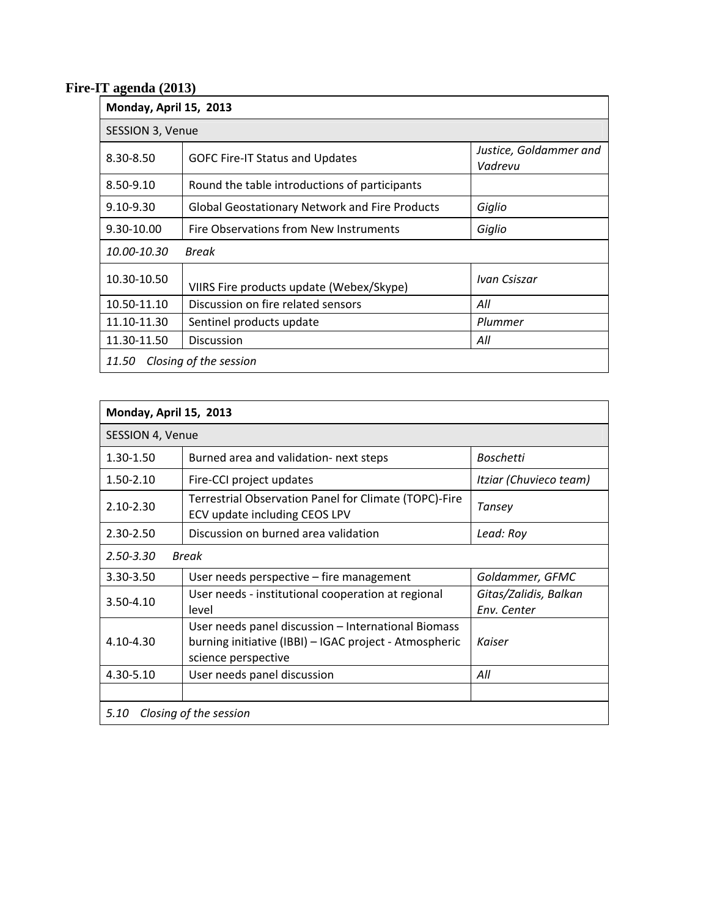## **Fire-IT agenda (2013)**

| Monday, April 15, 2013          |                                                       |                                   |  |  |
|---------------------------------|-------------------------------------------------------|-----------------------------------|--|--|
| SESSION 3, Venue                |                                                       |                                   |  |  |
| 8.30-8.50                       | <b>GOFC Fire-IT Status and Updates</b>                | Justice, Goldammer and<br>Vadrevu |  |  |
| 8.50-9.10                       | Round the table introductions of participants         |                                   |  |  |
| $9.10 - 9.30$                   | <b>Global Geostationary Network and Fire Products</b> | Giglio                            |  |  |
| 9.30-10.00                      | Fire Observations from New Instruments                | Giglio                            |  |  |
| 10.00-10.30<br>Break            |                                                       |                                   |  |  |
| 10.30-10.50                     | VIIRS Fire products update (Webex/Skype)              | Ivan Csiszar                      |  |  |
| 10.50-11.10                     | Discussion on fire related sensors                    | All                               |  |  |
| 11.10-11.30                     | Sentinel products update                              | Plummer                           |  |  |
| 11.30-11.50                     | <b>Discussion</b>                                     | All                               |  |  |
| Closing of the session<br>11.50 |                                                       |                                   |  |  |

| Monday, April 15, 2013         |                                                                                                                                      |                                      |  |  |
|--------------------------------|--------------------------------------------------------------------------------------------------------------------------------------|--------------------------------------|--|--|
| SESSION 4, Venue               |                                                                                                                                      |                                      |  |  |
| 1.30-1.50                      | Burned area and validation- next steps                                                                                               | Boschetti                            |  |  |
| 1.50-2.10                      | Fire-CCI project updates                                                                                                             | Itziar (Chuvieco team)               |  |  |
| $2.10 - 2.30$                  | Terrestrial Observation Panel for Climate (TOPC)-Fire<br>ECV update including CEOS LPV                                               | Tansey                               |  |  |
| 2.30-2.50                      | Discussion on burned area validation                                                                                                 | Lead: Roy                            |  |  |
| $2.50 - 3.30$<br>Break         |                                                                                                                                      |                                      |  |  |
| 3.30-3.50                      | User needs perspective – fire management                                                                                             | Goldammer, GFMC                      |  |  |
| 3.50-4.10                      | User needs - institutional cooperation at regional<br>level                                                                          | Gitas/Zalidis, Balkan<br>Env. Center |  |  |
| $4.10 - 4.30$                  | User needs panel discussion - International Biomass<br>burning initiative (IBBI) – IGAC project - Atmospheric<br>science perspective | Kaiser                               |  |  |
| 4.30-5.10                      | User needs panel discussion                                                                                                          | All                                  |  |  |
|                                |                                                                                                                                      |                                      |  |  |
| Closing of the session<br>5.10 |                                                                                                                                      |                                      |  |  |